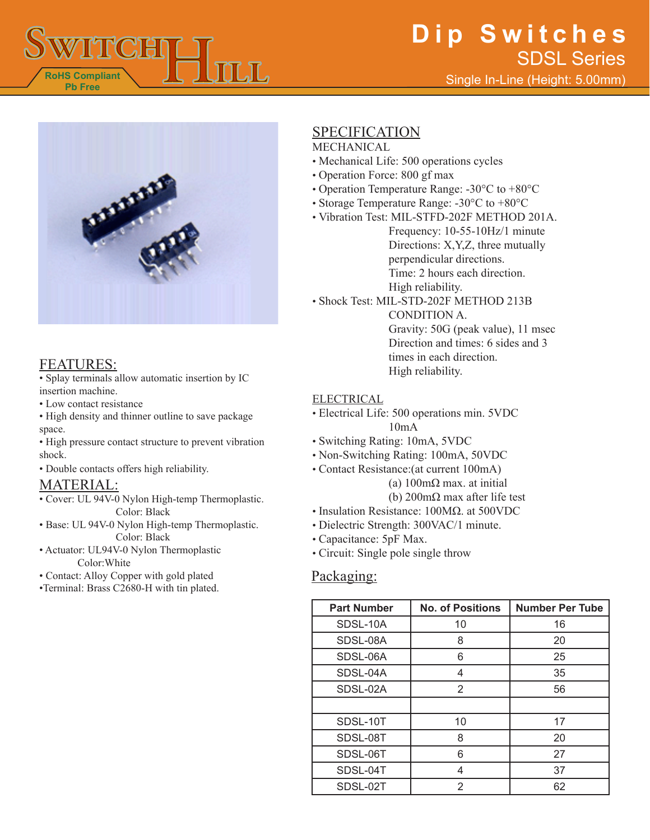



## FEATURES:

• Splay terminals allow automatic insertion by IC insertion machine.

- Low contact resistance
- High density and thinner outline to save package space.

• High pressure contact structure to prevent vibration shock.

• Double contacts offers high reliability.

## MATERIAL:

- Cover: UL 94V-0 Nylon High-temp Thermoplastic. Color: Black
- Base: UL 94V-0 Nylon High-temp Thermoplastic. Color: Black
- Actuator: UL94V-0 Nylon Thermoplastic Color:White
- Contact: Alloy Copper with gold plated
- •Terminal: Brass C2680-H with tin plated.

# SPECIFICATION

#### MECHANICAL

- Mechanical Life: 500 operations cycles
- Operation Force: 800 gf max
- Operation Temperature Range: -30°C to +80°C
- Storage Temperature Range: -30°C to +80°C
- Vibration Test: MIL-STFD-202F METHOD 201A. Frequency: 10-55-10Hz/1 minute Directions: X,Y,Z, three mutually perpendicular directions.
	- Time: 2 hours each direction.
	- High reliability.
- Shock Test: MIL-STD-202F METHOD 213B

CONDITION A. Gravity: 50G (peak value), 11 msec Direction and times: 6 sides and 3 times in each direction. High reliability.

#### ELECTRICAL

- Electrical Life: 500 operations min. 5VDC 10mA
- Switching Rating: 10mA, 5VDC
- Non-Switching Rating: 100mA, 50VDC
- Contact Resistance:(at current 100mA)
	- (a) 100mΩ max. at initial
		- (b) 200mΩ max after life test
- Insulation Resistance: 100MΩ. at 500VDC
- Dielectric Strength: 300VAC/1 minute.
- Capacitance: 5pF Max.
- Circuit: Single pole single throw

## Packaging:

| <b>Part Number</b> | <b>No. of Positions</b> | <b>Number Per Tube</b> |
|--------------------|-------------------------|------------------------|
| SDSL-10A           | 10                      | 16                     |
| SDSL-08A           | 8                       | 20                     |
| SDSL-06A           | 6                       | 25                     |
| SDSL-04A           | 4                       | 35                     |
| SDSL-02A           | 2                       | 56                     |
|                    |                         |                        |
| SDSL-10T           | 10                      | 17                     |
| SDSL-08T           | 8                       | 20                     |
| SDSL-06T           | 6                       | 27                     |
| SDSL-04T           | 4                       | 37                     |
| SDSL-02T           | 2                       | 62                     |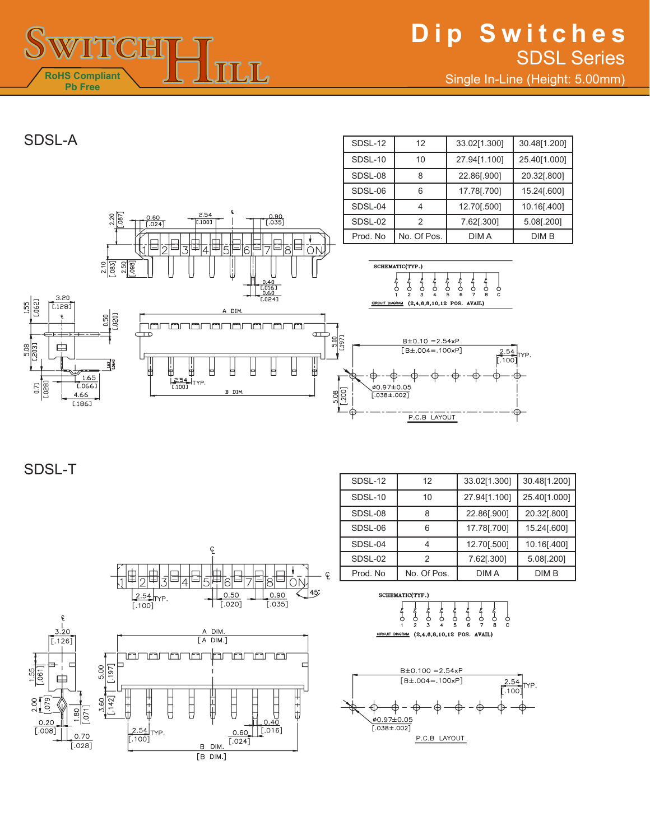

SDSL-12 | 12 | 33.02[1.300] | 30.48[1.200]

# SDSL-A



SDSL-T



| SDSL-12  | 12          | 33.02[1.300] | 30.48[1.200] |
|----------|-------------|--------------|--------------|
| SDSL-10  | 10          | 27.94[1.100] | 25.40[1.000] |
| SDSL-08  | 8           | 22.86[.900]  | 20.32[.800]  |
| SDSL-06  | հ           | 17.78[.700]  | 15.24[.600]  |
| SDSL-04  |             | 12.70[.500]  | 10.16[.400]  |
| SDSL-02  | 2           | 7.62[.300]   | 5.08[.200]   |
| Prod. No | No. Of Pos. | DIM A        | DIM B        |

SCHEMATIC(TYP.)

CIRCUIT

| <b>DIAGRAM</b> | (2.4.6.8.10.12 POS.<br>. |  |  |  |  |  |  |  |
|----------------|--------------------------|--|--|--|--|--|--|--|